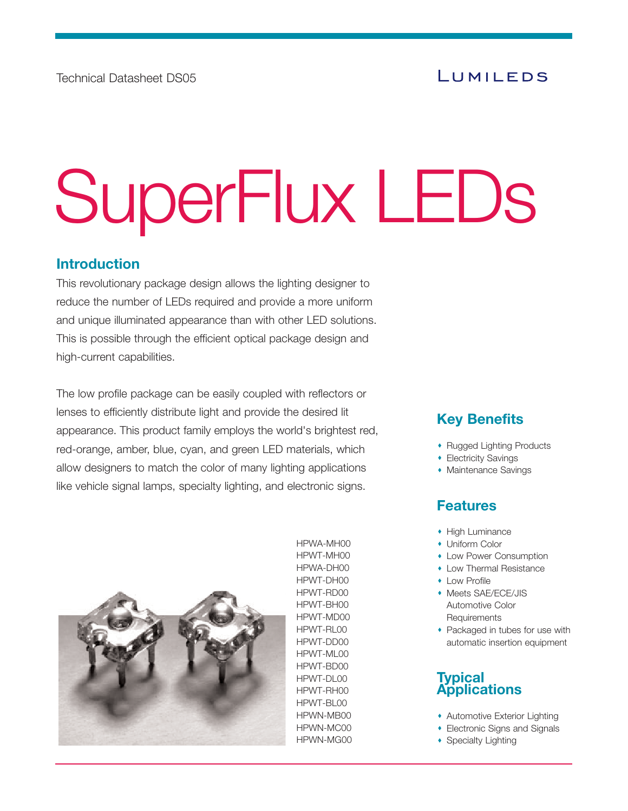# SuperFlux LEDs

# **Introduction**

This revolutionary package design allows the lighting designer to reduce the number of LEDs required and provide a more uniform and unique illuminated appearance than with other LED solutions. This is possible through the efficient optical package design and high-current capabilities.

The low profile package can be easily coupled with reflectors or lenses to efficiently distribute light and provide the desired lit appearance. This product family employs the world's brightest red, red-orange, amber, blue, cyan, and green LED materials, which allow designers to match the color of many lighting applications like vehicle signal lamps, specialty lighting, and electronic signs.



HPWA-MH00 HPWT-MH00 HPWA-DH00 HPWT-DH00 HPWT-RD00 HPWT-BH00 HPWT-MD00 HPWT-RL00 HPWT-DD00 HPWT-ML00 HPWT-BD00 HPWT-DL00 HPWT-RH00 HPWT-BL00 HPWN-MB00 HPWN-MC00 HPWN-MG00

# **Key Benefits**

- Rugged Lighting Products
- **Electricity Savings**
- Maintenance Savings

# **Features**

- High Luminance
- Uniform Color
- Low Power Consumption
- Low Thermal Resistance
- **+ Low Profile**
- Meets SAE/ECE/JIS Automotive Color **Requirements**
- Packaged in tubes for use with automatic insertion equipment

# **Typical Applications**

- Automotive Exterior Lighting
- Electronic Signs and Signals
- Specialty Lighting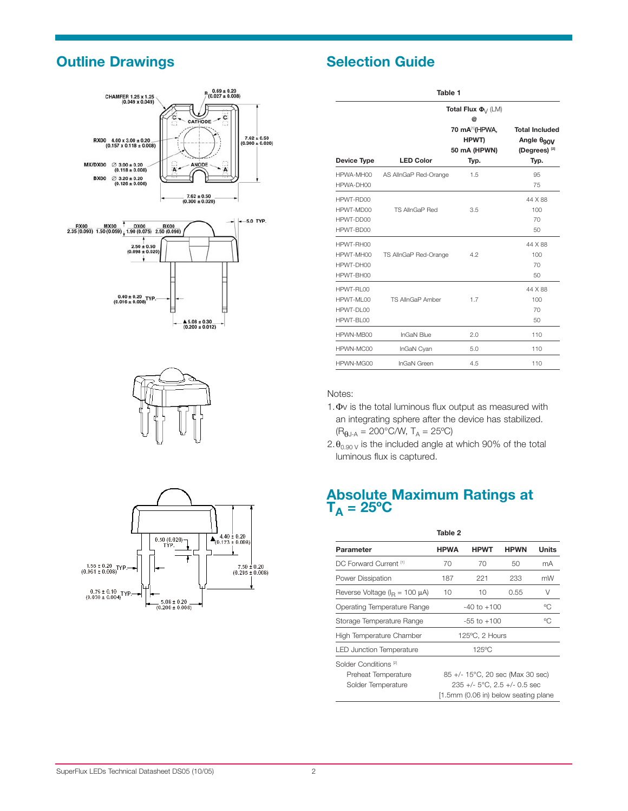# **Outline Drawings Selection Guide**









| Table 1                                             |                       |                                                |                                                                              |  |  |  |  |
|-----------------------------------------------------|-----------------------|------------------------------------------------|------------------------------------------------------------------------------|--|--|--|--|
|                                                     |                       | Total Flux $\Phi_{\! \sqrt{\lambda}}(LM)$<br>@ |                                                                              |  |  |  |  |
|                                                     |                       | 70 mA[1](HPWA,<br>HPWT)<br>50 mA (HPWN)        | <b>Total Included</b><br>Angle θ <sub>90</sub> ν<br>(Degrees) <sup>[2]</sup> |  |  |  |  |
| <b>Device Type</b>                                  | <b>LED Color</b>      | Typ.                                           | Typ.                                                                         |  |  |  |  |
| HPWA-MH00<br>HPWA-DH00                              | AS AllnGaP Red-Orange | 1.5                                            | 95<br>75                                                                     |  |  |  |  |
| HPWT-RD00<br>HPWT-MD00<br>HPWT-DD00<br>HPWT-BD00    | <b>TS AllnGaP Red</b> | 3.5                                            | 44 X 88<br>100<br>70<br>50                                                   |  |  |  |  |
| HPWT-RH00<br>HPWT-MH00<br>HPWT-DH00<br>HPWT-BH00    | TS AllnGaP Red-Orange | 4.2                                            | 44 X 88<br>100<br>70<br>50                                                   |  |  |  |  |
| HPWT-RI 00<br>HPWT-MI 00<br>HPWT-DI 00<br>HPWT-BL00 | TS AllnGaP Amber      | 1.7                                            | 44 X 88<br>100<br>70<br>50                                                   |  |  |  |  |
| HPWN-MB00                                           | <b>InGaN Blue</b>     | 2.0                                            | 110                                                                          |  |  |  |  |
| HPWN-MC00                                           | InGaN Cyan            | 5.0                                            | 110                                                                          |  |  |  |  |
| HPWN-MG00                                           | <b>InGaN Green</b>    | 4.5                                            | 110                                                                          |  |  |  |  |

### Notes:

- 1.Φv is the total luminous flux output as measured with an integrating sphere after the device has stabilized.  $(R_{\theta J\text{-}A}=200^{\circ}\text{C/W}, T_A=25^{\circ}\text{C})$
- $2.\theta_{0.90\text{ V}}$  is the included angle at which 90% of the total luminous flux is captured.

# **Absolute Maximum Ratings at**   $T_A = 25$ °C

|                                                                               | Table 2                                                                                                                   |                 |             |              |  |
|-------------------------------------------------------------------------------|---------------------------------------------------------------------------------------------------------------------------|-----------------|-------------|--------------|--|
| Parameter                                                                     | <b>HPWA</b>                                                                                                               | <b>HPWT</b>     | <b>HPWN</b> | <b>Units</b> |  |
| DC Forward Current <sup>[1]</sup>                                             | 70                                                                                                                        | 70              | 50          | mA           |  |
| Power Dissipation                                                             | 187                                                                                                                       | 221             | 233         | mW           |  |
| Reverse Voltage ( $IR = 100 \mu A$ )                                          | 10                                                                                                                        | 10              | 0.55        | V            |  |
| Operating Temperature Range                                                   |                                                                                                                           | $-40$ to $+100$ |             | ℃            |  |
| Storage Temperature Range                                                     | $-55$ to $+100$                                                                                                           | ℃               |             |              |  |
| High Temperature Chamber                                                      | 125°C, 2 Hours                                                                                                            |                 |             |              |  |
| 125°C<br><b>LED Junction Temperature</b>                                      |                                                                                                                           |                 |             |              |  |
| Solder Conditions <sup>[2]</sup><br>Preheat Temperature<br>Solder Temperature | 85 +/- 15°C, 20 sec (Max 30 sec)<br>$235 + (-5^{\circ}C, 2.5 + (-0.5^{\circ}sec)$<br>[1.5mm (0.06 in) below seating plane |                 |             |              |  |
|                                                                               |                                                                                                                           |                 |             |              |  |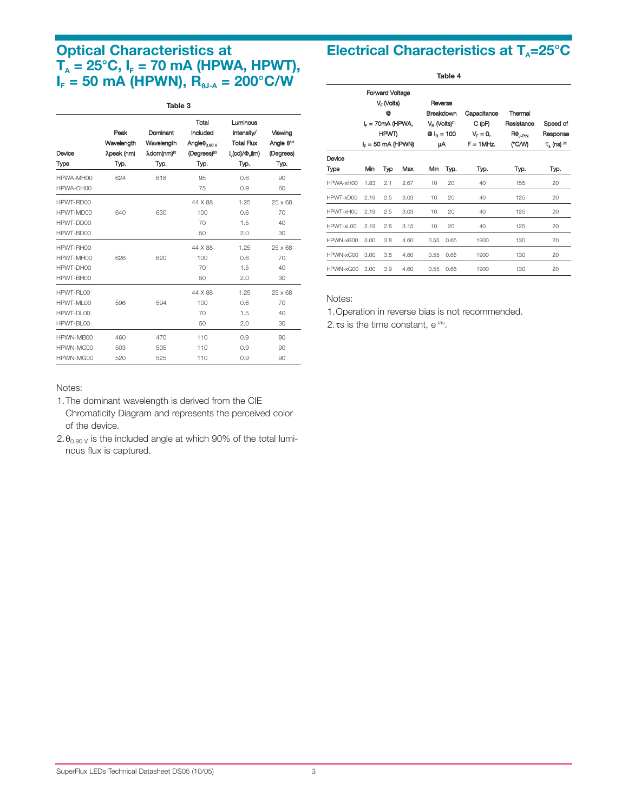# **Optical Characteristics at**   $T_A = 25^{\circ}$ C,  $I_F = 70$  mA (HPWA, HPWT),  $I_F = 50$  mA (HPWN),  $R_{\theta,IA} = 200^{\circ}$ C/W

### **Table 3** Total Luminous Peak Dominant Included Intensity/ Viewing Wavelength Wavelength Angleθ<sub>0.90 V</sub> Total Flux Angle θ<sup>1/2</sup> Device λpeak (nm) λdom(nm) <sup>n</sup> (Degrees)<sup>p</sup> I l<sub>v</sub>(cd)/Φ<sub>v</sub>(lm) (Degrees) Type Typ. Typ. Typ. Typ. Typ. HPWA-MH00 624 618 95 0.6 90 HPWA-DH00 75 0.9 60 HPWT-RD00 44 X 88 1.25 25 x 68 HPWT-MD00 640 630 100 0.6 70 HPWT-DD00 70 70 1.5 40 HPWT-BD00 50 2.0 30 HPWTRH00 44 X 88 1.25 25 x 68 HPWT-MH00 626 620 100 0.6 70 HPWT-DH00 70 1.5 40 HPWT-BH00 30 30 HPWT-RL00 44 X 88 1.25 25 x 68 HPWT-ML00 596 594 100 0.6 70 HPWT-DL00 70 1.5 40 HPWT-BL00 30 50 2.0 30 HPWN-MB00 460 470 110 0.9 90 HPWN-MC00 503 505 110 0.9 90 HPWN-MG00 520 525 110 0.9 90

# **Electrical Characteristics at T<sub>A</sub>=25°C**

| Table 4   |                                                                                                |     |                                                                                           |      |                                                       |                                                            |                                                            |      |
|-----------|------------------------------------------------------------------------------------------------|-----|-------------------------------------------------------------------------------------------|------|-------------------------------------------------------|------------------------------------------------------------|------------------------------------------------------------|------|
|           | Forward Voltage<br>$V_F$ (Volts)<br>@<br>$I_F = 70$ mA (HPWA,<br>HPWT)<br>$I_F = 50$ mA (HPWN) |     | Reverse<br>Breakdown<br>V <sub>R</sub> (Volts) <sup>m</sup><br>$Q_{\text{R}} = 100$<br>μA |      | Capacitance<br>C (pF)<br>$V_{F} = 0,$<br>$F = 1$ MHz. | Thermal<br>Resistance<br>$R\theta_{\text{LPIN}}$<br>(°C/W) | Speed of<br>Response<br>$\tau_{\rm s}$ (ns) $^{\boxtimes}$ |      |
| Device    |                                                                                                |     |                                                                                           |      |                                                       |                                                            |                                                            |      |
| Type      | Min                                                                                            | Тур | Max                                                                                       | Min  | Typ.                                                  | Тур.                                                       | Typ.                                                       | Typ. |
| HPWA-xH00 | 1.83                                                                                           | 2.1 | 2.67                                                                                      | 10   | 20                                                    | 40                                                         | 155                                                        | 20   |
| HPWT-xD00 | 2.19                                                                                           | 2.5 | 3.03                                                                                      | 10   | 20                                                    | 40                                                         | 125                                                        | 20   |
| HPWT-xH00 | 2.19                                                                                           | 2.5 | 3.03                                                                                      | 10   | 20                                                    | 40                                                         | 125                                                        | 20   |
| HPWT-xL00 | 2.19                                                                                           | 2.6 | 3.15                                                                                      | 10   | 20                                                    | 40                                                         | 125                                                        | 20   |
| HPWN-xB00 | 3.00                                                                                           | 3.8 | 4.60                                                                                      | 0.55 | 0.65                                                  | 1900                                                       | 130                                                        | 20   |
| HPWN-xC00 | 3.00                                                                                           | 3.8 | 4.60                                                                                      | 0.55 | 0.65                                                  | 1900                                                       | 130                                                        | 20   |
| HPWN-xG00 | 3.00                                                                                           | 3.9 | 4.60                                                                                      | 0.55 | 0.65                                                  | 1900                                                       | 130                                                        | 20   |

### Notes:

1.Operation in reverse bias is not recommended.

2. τs is the time constant,  $e^{i\pi s}$ .

### Notes:

- 1.The dominant wavelength is derived from the CIE Chromaticity Diagram and represents the perceived color of the device.
- 2. $\theta_{0.90\text{ V}}$  is the included angle at which 90% of the total luminous flux is captured.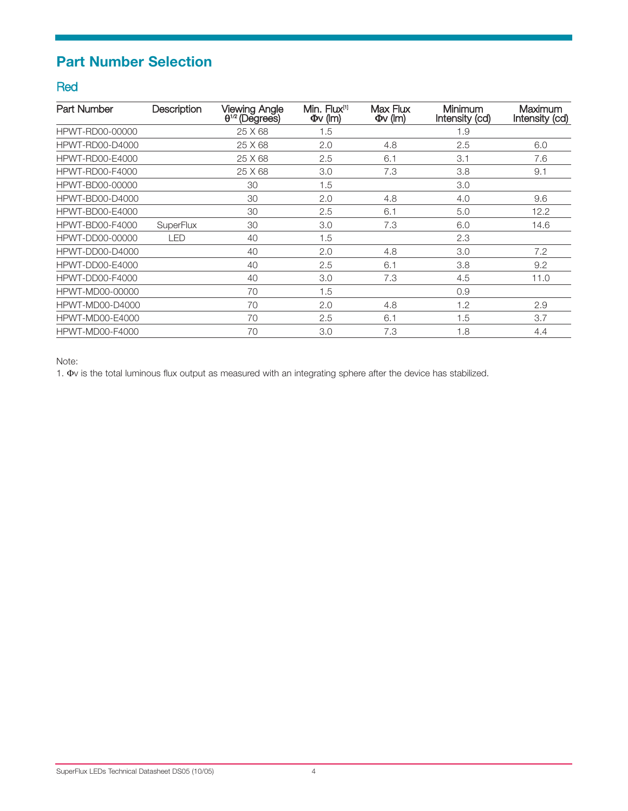# **Part Number Selection**

# Red

| Part Number            | Description      | <b>Viewing Angle</b><br>$\theta^{1/2}$ (Degrees) | Min. Flux <sup>[1]</sup><br>$\Phi$ v (Im) | Max Flux<br>$\Phi$ v (Im) | Minimum<br>Intensity (cd) | <b>Maximum</b><br>Intensity (cd) |
|------------------------|------------------|--------------------------------------------------|-------------------------------------------|---------------------------|---------------------------|----------------------------------|
| HPWT-RD00-00000        |                  | 25 X 68                                          | 1.5                                       |                           | 1.9                       |                                  |
| <b>HPWT-RD00-D4000</b> |                  | 25 X 68                                          | 2.0                                       | 4.8                       | 2.5                       | 6.0                              |
| <b>HPWT-RD00-E4000</b> |                  | 25 X 68                                          | 2.5                                       | 6.1                       | 3.1                       | 7.6                              |
| HPWT-RD00-F4000        |                  | 25 X 68                                          | 3.0                                       | 7.3                       | 3.8                       | 9.1                              |
| HPWT-BD00-00000        |                  | 30                                               | 1.5                                       |                           | 3.0                       |                                  |
| <b>HPWT-BD00-D4000</b> |                  | 30                                               | 2.0                                       | 4.8                       | 4.0                       | 9.6                              |
| <b>HPWT-BD00-E4000</b> |                  | 30                                               | 2.5                                       | 6.1                       | 5.0                       | 12.2                             |
| <b>HPWT-BD00-F4000</b> | <b>SuperFlux</b> | 30                                               | 3.0                                       | 7.3                       | 6.0                       | 14.6                             |
| HPWT-DD00-00000        | <b>LED</b>       | 40                                               | 1.5                                       |                           | 2.3                       |                                  |
| <b>HPWT-DD00-D4000</b> |                  | 40                                               | 2.0                                       | 4.8                       | 3.0                       | 7.2                              |
| <b>HPWT-DD00-E4000</b> |                  | 40                                               | 2.5                                       | 6.1                       | 3.8                       | 9.2                              |
| <b>HPWT-DD00-F4000</b> |                  | 40                                               | 3.0                                       | 7.3                       | 4.5                       | 11.0                             |
| HPWT-MD00-00000        |                  | 70                                               | 1.5                                       |                           | 0.9                       |                                  |
| <b>HPWT-MD00-D4000</b> |                  | 70                                               | 2.0                                       | 4.8                       | 1.2                       | 2.9                              |
| <b>HPWT-MD00-E4000</b> |                  | 70                                               | 2.5                                       | 6.1                       | 1.5                       | 3.7                              |
| <b>HPWT-MD00-F4000</b> |                  | 70                                               | 3.0                                       | 7.3                       | 1.8                       | 4.4                              |

Note:

1. Φv is the total luminous flux output as measured with an integrating sphere after the device has stabilized.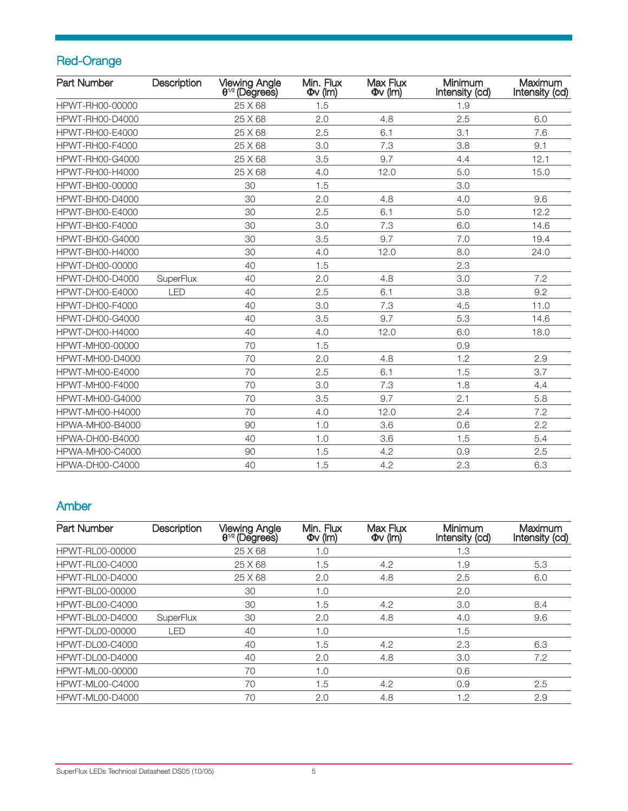# Red-Orange

| <b>Part Number</b>     | Description | <b>Viewing Angle</b><br>$\theta^{1/2}$ (Degrees) | Min. Flux<br>$\Phi$ v (lm) | Max Flux<br>$\Phi$ v (lm) | Minimum<br>Intensity (cd) | Maximum<br>Intensity (cd) |
|------------------------|-------------|--------------------------------------------------|----------------------------|---------------------------|---------------------------|---------------------------|
| HPWT-RH00-00000        |             | 25 X 68                                          | 1.5                        |                           | 1.9                       |                           |
| <b>HPWT-RH00-D4000</b> |             | 25 X 68                                          | 2.0                        | 4.8                       | 2.5                       | 6.0                       |
| HPWT-RH00-E4000        |             | 25 X 68                                          | 2.5                        | 6.1                       | 3.1                       | 7.6                       |
| <b>HPWT-RH00-F4000</b> |             | 25 X 68                                          | 3.0                        | 7.3                       | 3.8                       | 9.1                       |
| <b>HPWT-RH00-G4000</b> |             | 25 X 68                                          | 3.5                        | 9.7                       | 4.4                       | 12.1                      |
| HPWT-RH00-H4000        |             | 25 X 68                                          | 4.0                        | 12.0                      | 5.0                       | 15.0                      |
| HPWT-BH00-00000        |             | 30                                               | 1.5                        |                           | 3.0                       |                           |
| <b>HPWT-BH00-D4000</b> |             | 30                                               | 2.0                        | 4.8                       | 4.0                       | 9.6                       |
| HPWT-BH00-E4000        |             | 30                                               | 2.5                        | 6.1                       | 5.0                       | 12.2                      |
| HPWT-BH00-F4000        |             | 30                                               | 3.0                        | 7.3                       | 6.0                       | 14.6                      |
| HPWT-BH00-G4000        |             | 30                                               | 3.5                        | 9.7                       | 7.0                       | 19.4                      |
| HPWT-BH00-H4000        |             | 30                                               | 4.0                        | 12.0                      | 8.0                       | 24.0                      |
| HPWT-DH00-00000        |             | 40                                               | 1.5                        |                           | 2.3                       |                           |
| <b>HPWT-DH00-D4000</b> | SuperFlux   | 40                                               | 2.0                        | 4.8                       | 3.0                       | 7.2                       |
| HPWT-DH00-E4000        | LED         | 40                                               | 2.5                        | 6.1                       | 3.8                       | 9.2                       |
| <b>HPWT-DH00-F4000</b> |             | 40                                               | 3.0                        | 7.3                       | 4.5                       | 11.0                      |
| <b>HPWT-DH00-G4000</b> |             | 40                                               | 3.5                        | 9.7                       | 5.3                       | 14.6                      |
| HPWT-DH00-H4000        |             | 40                                               | 4.0                        | 12.0                      | 6.0                       | 18.0                      |
| HPWT-MH00-00000        |             | 70                                               | 1.5                        |                           | 0.9                       |                           |
| <b>HPWT-MH00-D4000</b> |             | 70                                               | 2.0                        | 4.8                       | 1.2                       | 2.9                       |
| <b>HPWT-MH00-E4000</b> |             | 70                                               | 2.5                        | 6.1                       | 1.5                       | 3.7                       |
| HPWT-MH00-F4000        |             | 70                                               | 3.0                        | 7.3                       | 1.8                       | 4.4                       |
| <b>HPWT-MH00-G4000</b> |             | 70                                               | 3.5                        | 9.7                       | 2.1                       | 5.8                       |
| HPWT-MH00-H4000        |             | 70                                               | 4.0                        | 12.0                      | 2.4                       | 7.2                       |
| HPWA-MH00-B4000        |             | 90                                               | 1.0                        | 3.6                       | 0.6                       | 2.2                       |
| HPWA-DH00-B4000        |             | 40                                               | 1.0                        | 3.6                       | 1.5                       | 5.4                       |
| HPWA-MH00-C4000        |             | 90                                               | 1.5                        | 4.2                       | 0.9                       | 2.5                       |
| <b>HPWA-DH00-C4000</b> |             | 40                                               | 1.5                        | 4.2                       | 2.3                       | 6.3                       |

# Amber

| <b>Part Number</b>     | <b>Description</b> | <b>Viewing Angle</b><br>$\theta^{1/2}$ (Degrees) | Min. Flux<br>$\Phi$ v (lm) | Max Flux<br>$\Phi$ v (lm) | Minimum<br>Intensity (cd) | Maximum<br>Intensity (cd) |
|------------------------|--------------------|--------------------------------------------------|----------------------------|---------------------------|---------------------------|---------------------------|
| HPWT-RL00-00000        |                    | 25 X 68                                          | 1.0                        |                           | 1.3                       |                           |
| <b>HPWT-RL00-C4000</b> |                    | 25 X 68                                          | 1.5                        | 4.2                       | 1.9                       | 5.3                       |
| <b>HPWT-RL00-D4000</b> |                    | 25 X 68                                          | 2.0                        | 4.8                       | 2.5                       | 6.0                       |
| HPWT-BL00-00000        |                    | 30                                               | 1.0                        |                           | 2.0                       |                           |
| <b>HPWT-BL00-C4000</b> |                    | 30                                               | 1.5                        | 4.2                       | 3.0                       | 8.4                       |
| <b>HPWT-BL00-D4000</b> | <b>SuperFlux</b>   | 30                                               | 2.0                        | 4.8                       | 4.0                       | 9.6                       |
| HPWT-DL00-00000        | LED                | 40                                               | 1.0                        |                           | 1.5                       |                           |
| HPWT-DL00-C4000        |                    | 40                                               | 1.5                        | 4.2                       | 2.3                       | 6.3                       |
| HPWT-DL00-D4000        |                    | 40                                               | 2.0                        | 4.8                       | 3.0                       | 7.2                       |
| HPWT-ML00-00000        |                    | 70                                               | 1.0                        |                           | 0.6                       |                           |
| <b>HPWT-ML00-C4000</b> |                    | 70                                               | 1.5                        | 4.2                       | 0.9                       | 2.5                       |
| <b>HPWT-ML00-D4000</b> |                    | 70                                               | 2.0                        | 4.8                       | 1.2                       | 2.9                       |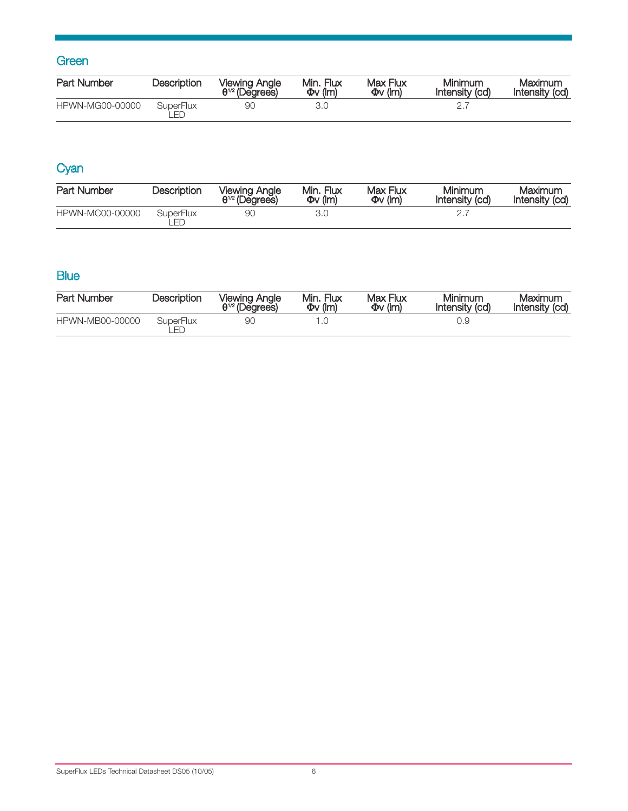# **Green**

| <b>Part Number</b> | <b>Description</b> | <b>Viewing Angle</b><br>$\theta^{1/2}$ (Degrees) | Min. Flux<br>$\Phi$ v (Im) | Max Flux<br>$\Phi$ v (lm) | Minimum<br>Intensity (cd) | Maximum<br>Intensity (cd) |
|--------------------|--------------------|--------------------------------------------------|----------------------------|---------------------------|---------------------------|---------------------------|
| HPWN-MG00-00000    | SuperFlux          | 90                                               |                            |                           |                           |                           |

# **Cyan**

| Part Number     | <b>Description</b>     | <b>Viewing Angle</b><br>$\theta^{1/2}$ (Degrees) | Min. Flux<br>$\Phi$ v (lm) | Max Flux<br>$\Phi$ v (lm) | Minimum<br>Intensity (cd) | Maximum<br>Intensity (cd) |
|-----------------|------------------------|--------------------------------------------------|----------------------------|---------------------------|---------------------------|---------------------------|
| HPWN-MC00-00000 | <b>SuperFlux</b><br>FГ |                                                  |                            |                           |                           |                           |

# **Blue**

| Part Number     | Description     | <b>Viewing Angle</b><br>$\theta^{1/2}$ (Degrees) | Min. Flux<br>$\Phi$ v (Im) | Max Flux<br>$\Phi$ v (lm) | Minimum<br>Intensity (cd) | Maximum<br>Intensity (cd) |
|-----------------|-----------------|--------------------------------------------------|----------------------------|---------------------------|---------------------------|---------------------------|
| HPWN-MB00-00000 | SuperFlux<br>FГ | 9С                                               |                            |                           | J.Y                       |                           |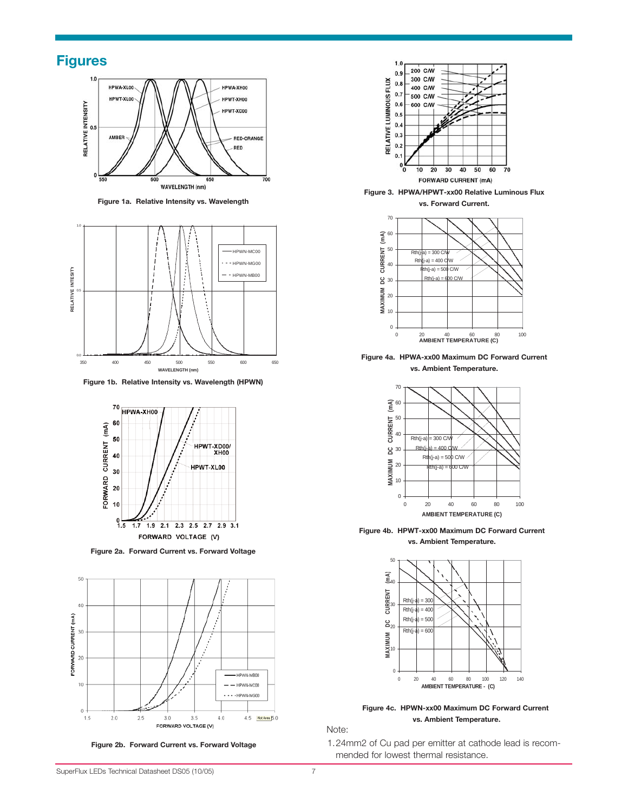# **Figures**



**Figure 1a. Relative Intensity vs. Wavelength**



**Figure 1b. Relative Intensity vs. Wavelength (HPWN)**



**Figure 2a. Forward Current vs. Forward Voltage**



**Figure 2b. Forward Current vs. Forward Voltage**



Figure 3. HPWA/HPWT-xx00 Relative Luminous Flux

**vs. Forward Current.**



Figure 4a. HPWA-xx00 Maximum DC Forward Current **vs. Ambient Temperature.**



Figure 4b. HPWT-xx00 Maximum DC Forward Current **vs. Ambient Temperature.**



Figure 4c. HPWN-xx00 Maximum DC Forward Current **vs. Ambient Temperature.**

Note:

1.24mm2 of Cu pad per emitter at cathode lead is recom mended for lowest thermal resistance.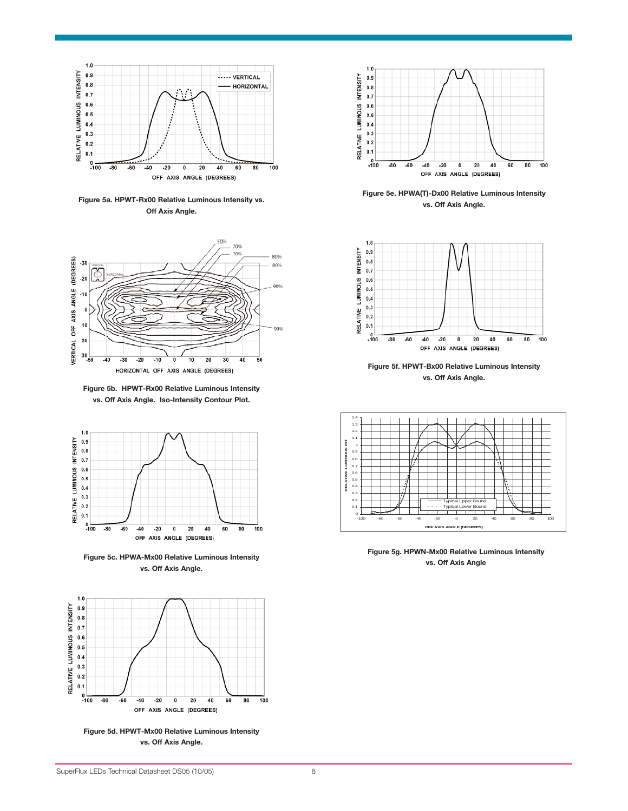

Figure 5a. HPWT-Rx00 Relative Luminous Intensity vs. **Off Axis Angle.**



Figure 5b. HPWT-Rx00 Relative Luminous Intensity vs. Off Axis Angle. Iso-Intensity Contour Plot.



**Figure 5c. HPWA-Mx00 Relative Luminous Intensity vs. Off Axis Angle.**



**Figure 5d. HPWT-Mx00 Relative Luminous Intensity vs. Off Axis Angle.**



Figure 5e. HPWA(T)-Dx00 Relative Luminous Intensity **vs. Off Axis Angle.**



Figure 5f. HPWT-Bx00 Relative Luminous Intensity **vs. Off Axis Angle.**



Figure 5g. HPWN-Mx00 Relative Luminous Intensity **vs. Off Axis Angle**